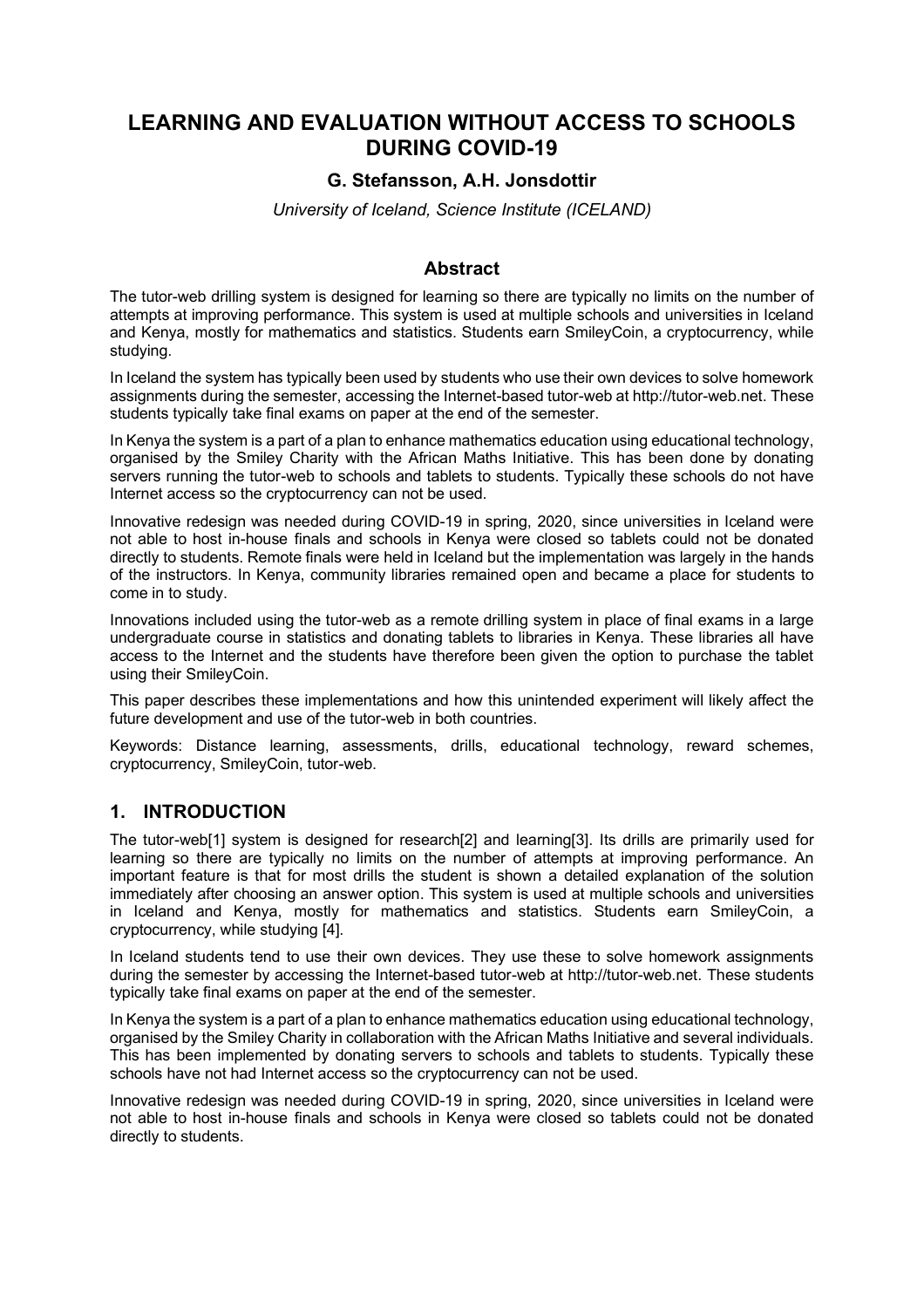# **LEARNING AND EVALUATION WITHOUT ACCESS TO SCHOOLS DURING COVID-19**

## **G. Stefansson, A.H. Jonsdottir**

*University of Iceland, Science Institute (ICELAND)*

## **Abstract**

The tutor-web drilling system is designed for learning so there are typically no limits on the number of attempts at improving performance. This system is used at multiple schools and universities in Iceland and Kenya, mostly for mathematics and statistics. Students earn SmileyCoin, a cryptocurrency, while studying.

In Iceland the system has typically been used by students who use their own devices to solve homework assignments during the semester, accessing the Internet-based tutor-web at http://tutor-web.net. These students typically take final exams on paper at the end of the semester.

In Kenya the system is a part of a plan to enhance mathematics education using educational technology, organised by the Smiley Charity with the African Maths Initiative. This has been done by donating servers running the tutor-web to schools and tablets to students. Typically these schools do not have Internet access so the cryptocurrency can not be used.

Innovative redesign was needed during COVID-19 in spring, 2020, since universities in Iceland were not able to host in-house finals and schools in Kenya were closed so tablets could not be donated directly to students. Remote finals were held in Iceland but the implementation was largely in the hands of the instructors. In Kenya, community libraries remained open and became a place for students to come in to study.

Innovations included using the tutor-web as a remote drilling system in place of final exams in a large undergraduate course in statistics and donating tablets to libraries in Kenya. These libraries all have access to the Internet and the students have therefore been given the option to purchase the tablet using their SmileyCoin.

This paper describes these implementations and how this unintended experiment will likely affect the future development and use of the tutor-web in both countries.

Keywords: Distance learning, assessments, drills, educational technology, reward schemes, cryptocurrency, SmileyCoin, tutor-web.

## **1. INTRODUCTION**

The tutor-web[1] system is designed for research[2] and learning[3]. Its drills are primarily used for learning so there are typically no limits on the number of attempts at improving performance. An important feature is that for most drills the student is shown a detailed explanation of the solution immediately after choosing an answer option. This system is used at multiple schools and universities in Iceland and Kenya, mostly for mathematics and statistics. Students earn SmileyCoin, a cryptocurrency, while studying [4].

In Iceland students tend to use their own devices. They use these to solve homework assignments during the semester by accessing the Internet-based tutor-web at http://tutor-web.net. These students typically take final exams on paper at the end of the semester.

In Kenya the system is a part of a plan to enhance mathematics education using educational technology, organised by the Smiley Charity in collaboration with the African Maths Initiative and several individuals. This has been implemented by donating servers to schools and tablets to students. Typically these schools have not had Internet access so the cryptocurrency can not be used.

Innovative redesign was needed during COVID-19 in spring, 2020, since universities in Iceland were not able to host in-house finals and schools in Kenya were closed so tablets could not be donated directly to students.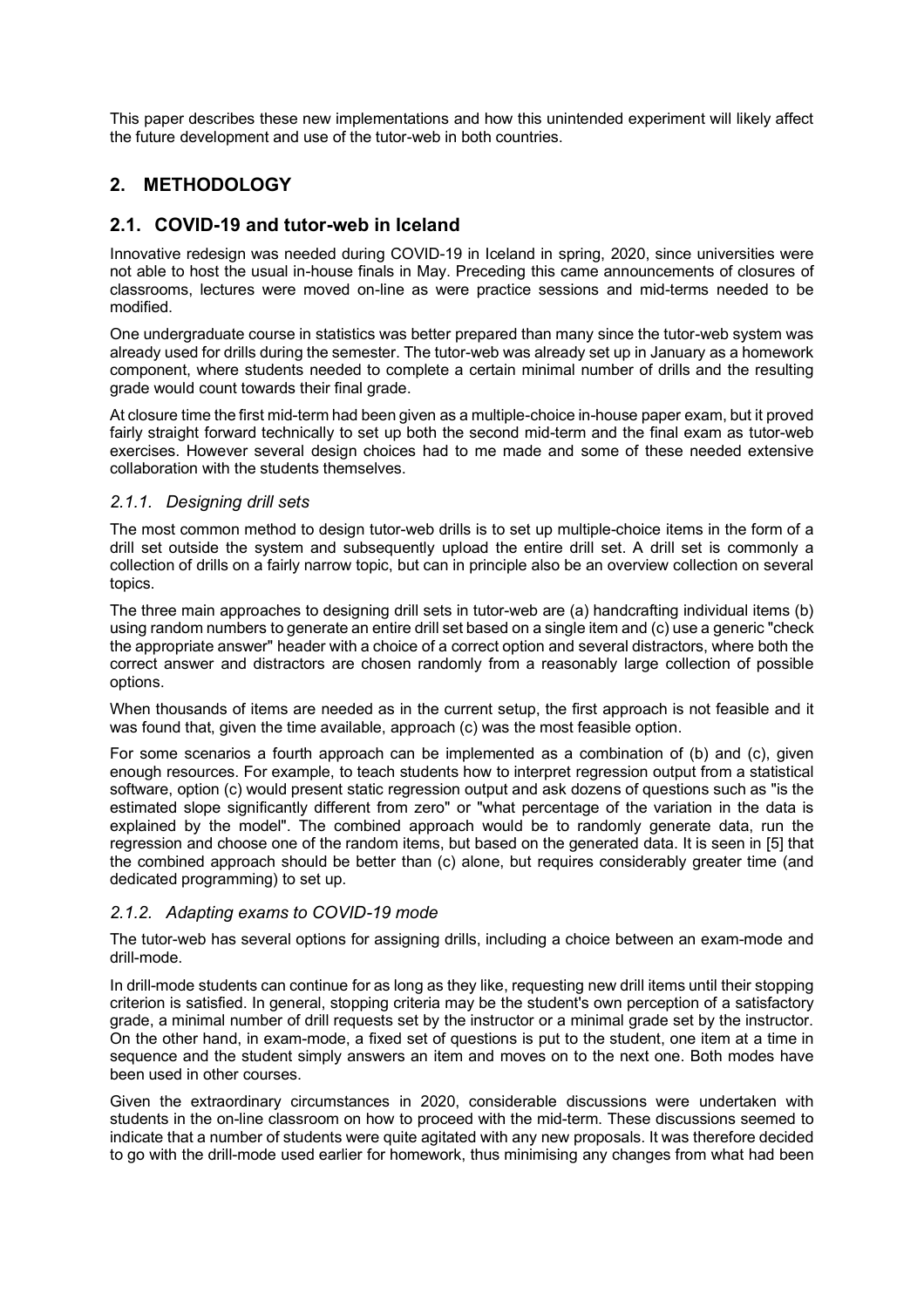This paper describes these new implementations and how this unintended experiment will likely affect the future development and use of the tutor-web in both countries.

# **2. METHODOLOGY**

## **2.1. COVID-19 and tutor-web in Iceland**

Innovative redesign was needed during COVID-19 in Iceland in spring, 2020, since universities were not able to host the usual in-house finals in May. Preceding this came announcements of closures of classrooms, lectures were moved on-line as were practice sessions and mid-terms needed to be modified.

One undergraduate course in statistics was better prepared than many since the tutor-web system was already used for drills during the semester. The tutor-web was already set up in January as a homework component, where students needed to complete a certain minimal number of drills and the resulting grade would count towards their final grade.

At closure time the first mid-term had been given as a multiple-choice in-house paper exam, but it proved fairly straight forward technically to set up both the second mid-term and the final exam as tutor-web exercises. However several design choices had to me made and some of these needed extensive collaboration with the students themselves.

#### *2.1.1. Designing drill sets*

The most common method to design tutor-web drills is to set up multiple-choice items in the form of a drill set outside the system and subsequently upload the entire drill set. A drill set is commonly a collection of drills on a fairly narrow topic, but can in principle also be an overview collection on several topics.

The three main approaches to designing drill sets in tutor-web are (a) handcrafting individual items (b) using random numbers to generate an entire drill set based on a single item and (c) use a generic "check the appropriate answer" header with a choice of a correct option and several distractors, where both the correct answer and distractors are chosen randomly from a reasonably large collection of possible options.

When thousands of items are needed as in the current setup, the first approach is not feasible and it was found that, given the time available, approach (c) was the most feasible option.

For some scenarios a fourth approach can be implemented as a combination of (b) and (c), given enough resources. For example, to teach students how to interpret regression output from a statistical software, option (c) would present static regression output and ask dozens of questions such as "is the estimated slope significantly different from zero" or "what percentage of the variation in the data is explained by the model". The combined approach would be to randomly generate data, run the regression and choose one of the random items, but based on the generated data. It is seen in [5] that the combined approach should be better than (c) alone, but requires considerably greater time (and dedicated programming) to set up.

## *2.1.2. Adapting exams to COVID-19 mode*

The tutor-web has several options for assigning drills, including a choice between an exam-mode and drill-mode.

In drill-mode students can continue for as long as they like, requesting new drill items until their stopping criterion is satisfied. In general, stopping criteria may be the student's own perception of a satisfactory grade, a minimal number of drill requests set by the instructor or a minimal grade set by the instructor. On the other hand, in exam-mode, a fixed set of questions is put to the student, one item at a time in sequence and the student simply answers an item and moves on to the next one. Both modes have been used in other courses.

Given the extraordinary circumstances in 2020, considerable discussions were undertaken with students in the on-line classroom on how to proceed with the mid-term. These discussions seemed to indicate that a number of students were quite agitated with any new proposals. It was therefore decided to go with the drill-mode used earlier for homework, thus minimising any changes from what had been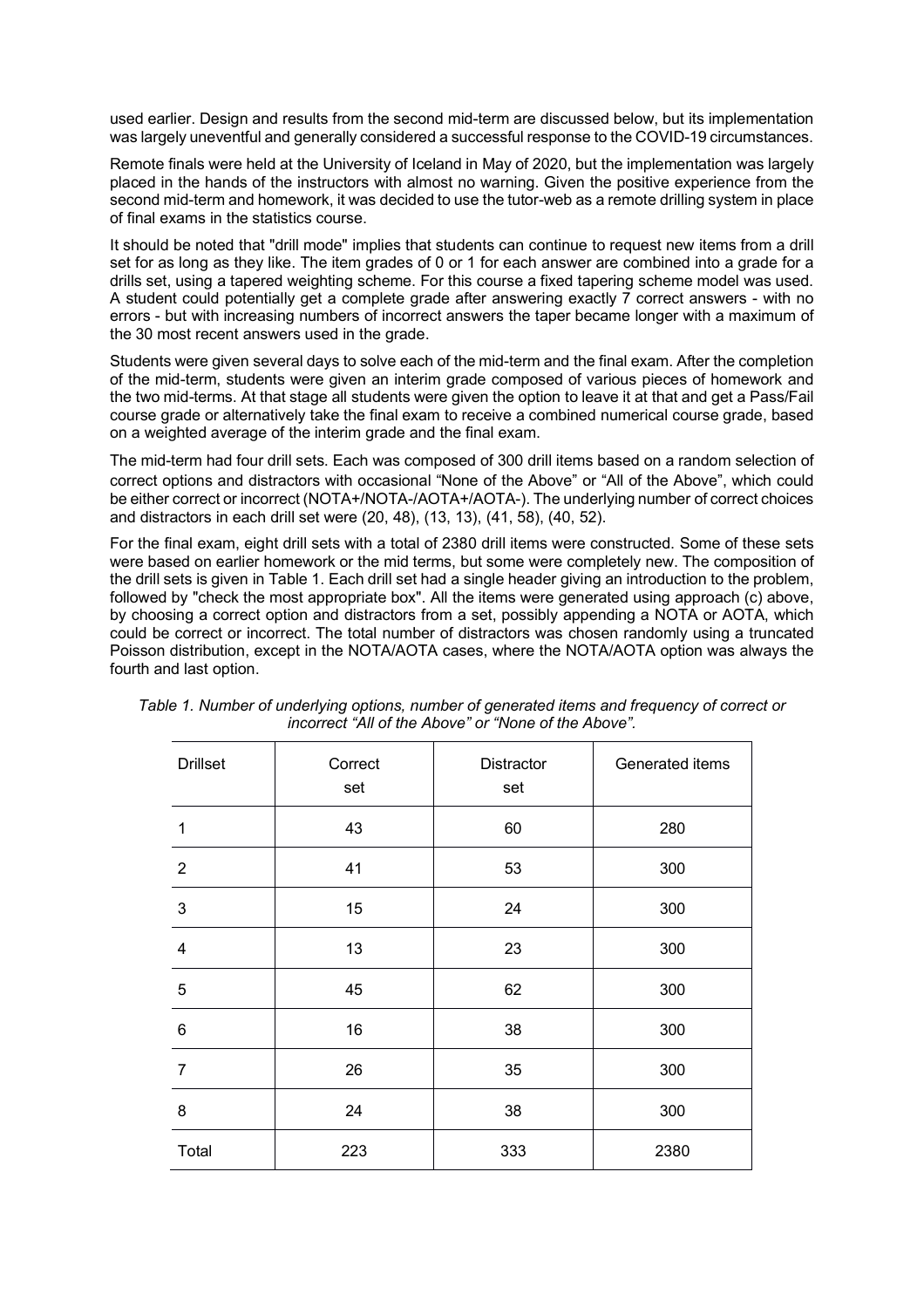used earlier. Design and results from the second mid-term are discussed below, but its implementation was largely uneventful and generally considered a successful response to the COVID-19 circumstances.

Remote finals were held at the University of Iceland in May of 2020, but the implementation was largely placed in the hands of the instructors with almost no warning. Given the positive experience from the second mid-term and homework, it was decided to use the tutor-web as a remote drilling system in place of final exams in the statistics course.

It should be noted that "drill mode" implies that students can continue to request new items from a drill set for as long as they like. The item grades of 0 or 1 for each answer are combined into a grade for a drills set, using a tapered weighting scheme. For this course a fixed tapering scheme model was used. A student could potentially get a complete grade after answering exactly 7 correct answers - with no errors - but with increasing numbers of incorrect answers the taper became longer with a maximum of the 30 most recent answers used in the grade.

Students were given several days to solve each of the mid-term and the final exam. After the completion of the mid-term, students were given an interim grade composed of various pieces of homework and the two mid-terms. At that stage all students were given the option to leave it at that and get a Pass/Fail course grade or alternatively take the final exam to receive a combined numerical course grade, based on a weighted average of the interim grade and the final exam.

The mid-term had four drill sets. Each was composed of 300 drill items based on a random selection of correct options and distractors with occasional "None of the Above" or "All of the Above", which could be either correct or incorrect (NOTA+/NOTA-/AOTA+/AOTA-). The underlying number of correct choices and distractors in each drill set were (20, 48), (13, 13), (41, 58), (40, 52).

For the final exam, eight drill sets with a total of 2380 drill items were constructed. Some of these sets were based on earlier homework or the mid terms, but some were completely new. The composition of the drill sets is given in Table 1. Each drill set had a single header giving an introduction to the problem, followed by "check the most appropriate box". All the items were generated using approach (c) above, by choosing a correct option and distractors from a set, possibly appending a NOTA or AOTA, which could be correct or incorrect. The total number of distractors was chosen randomly using a truncated Poisson distribution, except in the NOTA/AOTA cases, where the NOTA/AOTA option was always the fourth and last option.

| <b>Drillset</b> | Correct<br>set | Distractor<br>set | Generated items |  |  |
|-----------------|----------------|-------------------|-----------------|--|--|
| 1               | 43             | 60                | 280             |  |  |
| $\overline{2}$  | 41             | 53                | 300             |  |  |
| $\mathfrak{S}$  | 15             | 24                | 300             |  |  |
| $\overline{4}$  | 13             | 23                | 300             |  |  |
| $\sqrt{5}$      | 45             | 62                | 300             |  |  |
| $\,6$           | 16             | 38                | 300             |  |  |
| $\overline{7}$  | 26             | 35                | 300             |  |  |
| 8               | 24             | 38                | 300             |  |  |
| Total           | 223            | 333               | 2380            |  |  |

*Table 1. Number of underlying options, number of generated items and frequency of correct or incorrect "All of the Above" or "None of the Above".*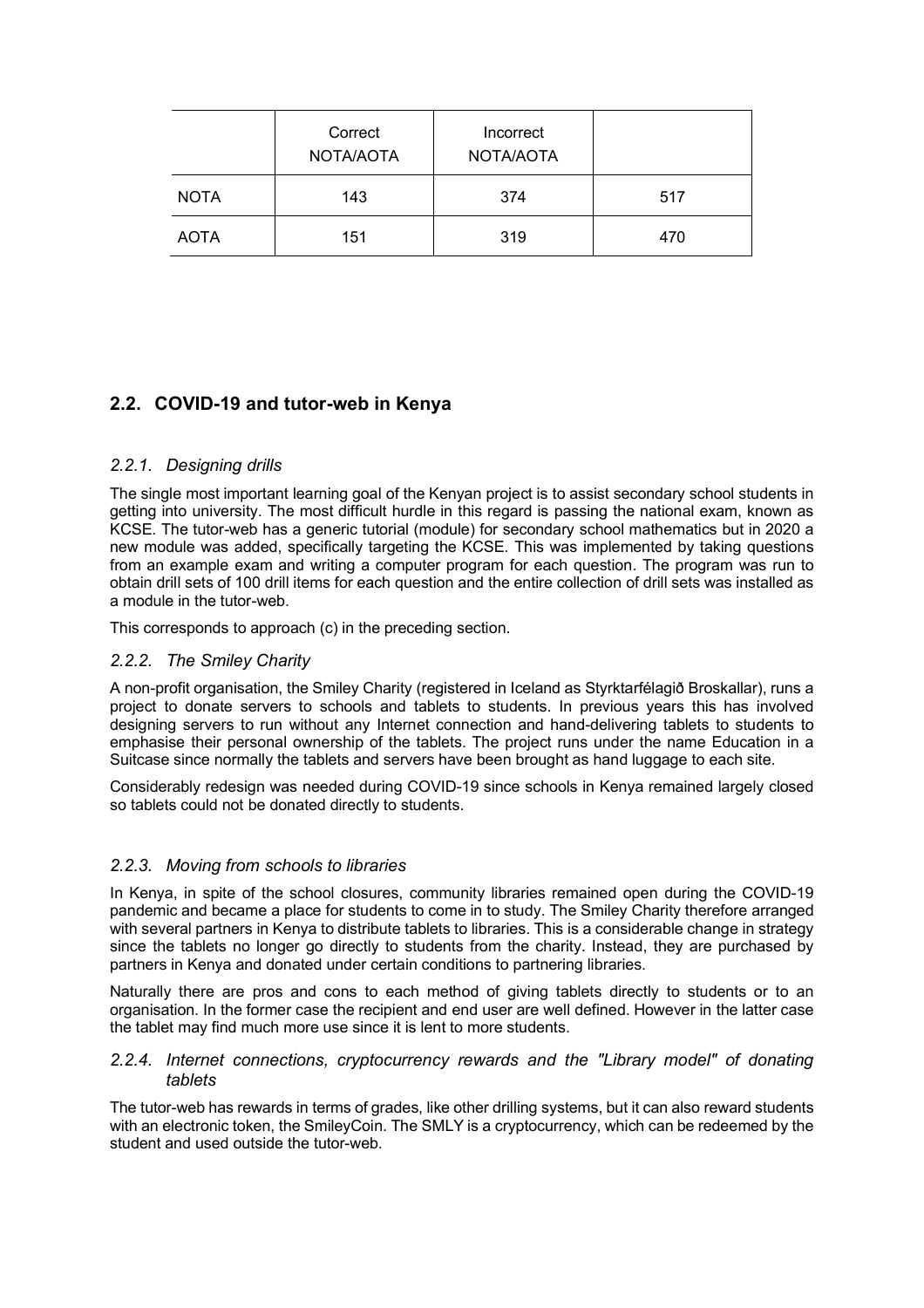|             | Correct<br>NOTA/AOTA | Incorrect<br>NOTA/AOTA |     |
|-------------|----------------------|------------------------|-----|
| <b>NOTA</b> | 143                  | 374                    | 517 |
| <b>AOTA</b> | 151                  | 319                    | 470 |

# **2.2. COVID-19 and tutor-web in Kenya**

## *2.2.1. Designing drills*

The single most important learning goal of the Kenyan project is to assist secondary school students in getting into university. The most difficult hurdle in this regard is passing the national exam, known as KCSE. The tutor-web has a generic tutorial (module) for secondary school mathematics but in 2020 a new module was added, specifically targeting the KCSE. This was implemented by taking questions from an example exam and writing a computer program for each question. The program was run to obtain drill sets of 100 drill items for each question and the entire collection of drill sets was installed as a module in the tutor-web.

This corresponds to approach (c) in the preceding section.

## *2.2.2. The Smiley Charity*

A non-profit organisation, the Smiley Charity (registered in Iceland as Styrktarfélagið Broskallar), runs a project to donate servers to schools and tablets to students. In previous years this has involved designing servers to run without any Internet connection and hand-delivering tablets to students to emphasise their personal ownership of the tablets. The project runs under the name Education in a Suitcase since normally the tablets and servers have been brought as hand luggage to each site.

Considerably redesign was needed during COVID-19 since schools in Kenya remained largely closed so tablets could not be donated directly to students.

## *2.2.3. Moving from schools to libraries*

In Kenya, in spite of the school closures, community libraries remained open during the COVID-19 pandemic and became a place for students to come in to study. The Smiley Charity therefore arranged with several partners in Kenya to distribute tablets to libraries. This is a considerable change in strategy since the tablets no longer go directly to students from the charity. Instead, they are purchased by partners in Kenya and donated under certain conditions to partnering libraries.

Naturally there are pros and cons to each method of giving tablets directly to students or to an organisation. In the former case the recipient and end user are well defined. However in the latter case the tablet may find much more use since it is lent to more students.

#### *2.2.4. Internet connections, cryptocurrency rewards and the "Library model" of donating tablets*

The tutor-web has rewards in terms of grades, like other drilling systems, but it can also reward students with an electronic token, the SmileyCoin. The SMLY is a cryptocurrency, which can be redeemed by the student and used outside the tutor-web.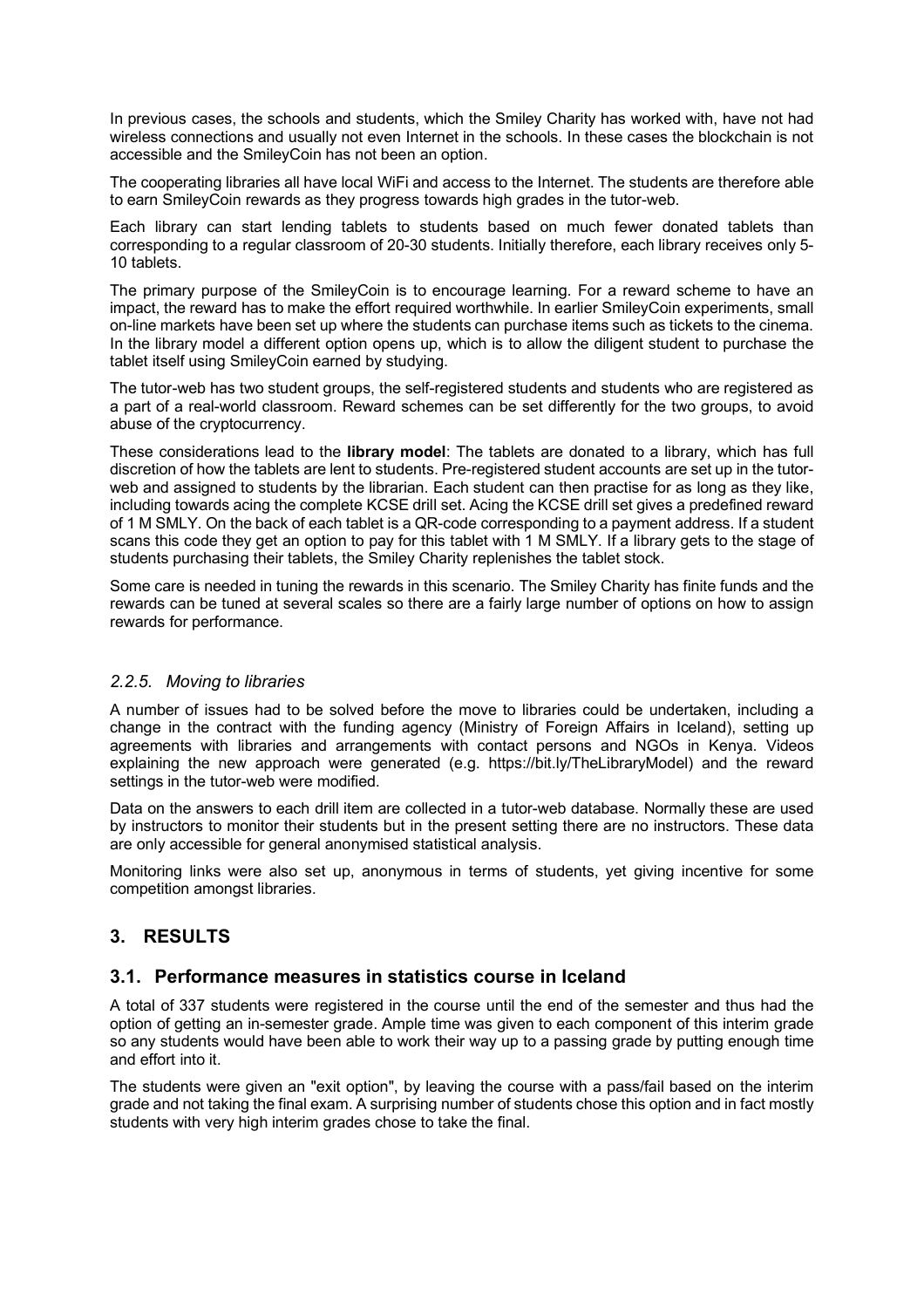In previous cases, the schools and students, which the Smiley Charity has worked with, have not had wireless connections and usually not even Internet in the schools. In these cases the blockchain is not accessible and the SmileyCoin has not been an option.

The cooperating libraries all have local WiFi and access to the Internet. The students are therefore able to earn SmileyCoin rewards as they progress towards high grades in the tutor-web.

Each library can start lending tablets to students based on much fewer donated tablets than corresponding to a regular classroom of 20-30 students. Initially therefore, each library receives only 5- 10 tablets.

The primary purpose of the SmileyCoin is to encourage learning. For a reward scheme to have an impact, the reward has to make the effort required worthwhile. In earlier SmileyCoin experiments, small on-line markets have been set up where the students can purchase items such as tickets to the cinema. In the library model a different option opens up, which is to allow the diligent student to purchase the tablet itself using SmileyCoin earned by studying.

The tutor-web has two student groups, the self-registered students and students who are registered as a part of a real-world classroom. Reward schemes can be set differently for the two groups, to avoid abuse of the cryptocurrency.

These considerations lead to the **library model**: The tablets are donated to a library, which has full discretion of how the tablets are lent to students. Pre-registered student accounts are set up in the tutorweb and assigned to students by the librarian. Each student can then practise for as long as they like, including towards acing the complete KCSE drill set. Acing the KCSE drill set gives a predefined reward of 1 M SMLY. On the back of each tablet is a QR-code corresponding to a payment address. If a student scans this code they get an option to pay for this tablet with 1 M SMLY. If a library gets to the stage of students purchasing their tablets, the Smiley Charity replenishes the tablet stock.

Some care is needed in tuning the rewards in this scenario. The Smiley Charity has finite funds and the rewards can be tuned at several scales so there are a fairly large number of options on how to assign rewards for performance.

#### *2.2.5. Moving to libraries*

A number of issues had to be solved before the move to libraries could be undertaken, including a change in the contract with the funding agency (Ministry of Foreign Affairs in Iceland), setting up agreements with libraries and arrangements with contact persons and NGOs in Kenya. Videos explaining the new approach were generated (e.g. https://bit.ly/TheLibraryModel) and the reward settings in the tutor-web were modified.

Data on the answers to each drill item are collected in a tutor-web database. Normally these are used by instructors to monitor their students but in the present setting there are no instructors. These data are only accessible for general anonymised statistical analysis.

Monitoring links were also set up, anonymous in terms of students, yet giving incentive for some competition amongst libraries.

## **3. RESULTS**

#### **3.1. Performance measures in statistics course in Iceland**

A total of 337 students were registered in the course until the end of the semester and thus had the option of getting an in-semester grade. Ample time was given to each component of this interim grade so any students would have been able to work their way up to a passing grade by putting enough time and effort into it.

The students were given an "exit option", by leaving the course with a pass/fail based on the interim grade and not taking the final exam. A surprising number of students chose this option and in fact mostly students with very high interim grades chose to take the final.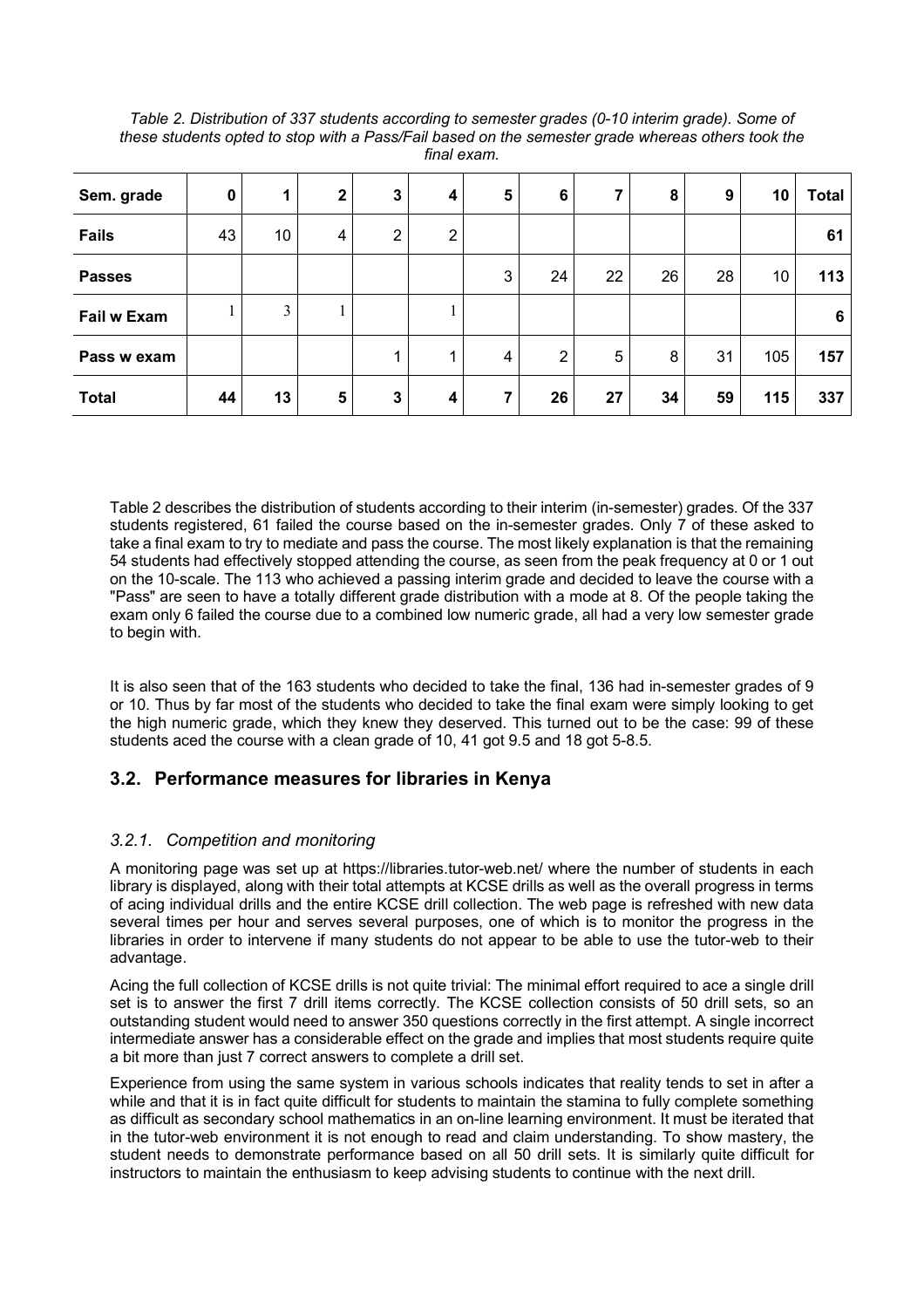| Sem. grade         | $\bf{0}$ | 1  | $\mathbf{2}$ | $\mathbf{3}$ | 4              | 5 | 6              | 7  | 8  | 9  | 10  | <b>Total</b> |
|--------------------|----------|----|--------------|--------------|----------------|---|----------------|----|----|----|-----|--------------|
| <b>Fails</b>       | 43       | 10 | 4            | 2            | $\overline{2}$ |   |                |    |    |    |     | 61           |
| <b>Passes</b>      |          |    |              |              |                | 3 | 24             | 22 | 26 | 28 | 10  | 113          |
| <b>Fail w Exam</b> |          | 3  |              |              |                |   |                |    |    |    |     | 6            |
| Pass w exam        |          |    |              |              |                | 4 | $\overline{2}$ | 5  | 8  | 31 | 105 | 157          |
| <b>Total</b>       | 44       | 13 | 5            | 3            | 4              |   | 26             | 27 | 34 | 59 | 115 | 337          |

*Table 2. Distribution of 337 students according to semester grades (0-10 interim grade). Some of these students opted to stop with a Pass/Fail based on the semester grade whereas others took the final exam.*

Table 2 describes the distribution of students according to their interim (in-semester) grades. Of the 337 students registered, 61 failed the course based on the in-semester grades. Only 7 of these asked to take a final exam to try to mediate and pass the course. The most likely explanation is that the remaining 54 students had effectively stopped attending the course, as seen from the peak frequency at 0 or 1 out on the 10-scale. The 113 who achieved a passing interim grade and decided to leave the course with a "Pass" are seen to have a totally different grade distribution with a mode at 8. Of the people taking the exam only 6 failed the course due to a combined low numeric grade, all had a very low semester grade to begin with.

It is also seen that of the 163 students who decided to take the final, 136 had in-semester grades of 9 or 10. Thus by far most of the students who decided to take the final exam were simply looking to get the high numeric grade, which they knew they deserved. This turned out to be the case: 99 of these students aced the course with a clean grade of 10, 41 got 9.5 and 18 got 5-8.5.

## **3.2. Performance measures for libraries in Kenya**

## *3.2.1. Competition and monitoring*

A monitoring page was set up at https://libraries.tutor-web.net/ where the number of students in each library is displayed, along with their total attempts at KCSE drills as well as the overall progress in terms of acing individual drills and the entire KCSE drill collection. The web page is refreshed with new data several times per hour and serves several purposes, one of which is to monitor the progress in the libraries in order to intervene if many students do not appear to be able to use the tutor-web to their advantage.

Acing the full collection of KCSE drills is not quite trivial: The minimal effort required to ace a single drill set is to answer the first 7 drill items correctly. The KCSE collection consists of 50 drill sets, so an outstanding student would need to answer 350 questions correctly in the first attempt. A single incorrect intermediate answer has a considerable effect on the grade and implies that most students require quite a bit more than just 7 correct answers to complete a drill set.

Experience from using the same system in various schools indicates that reality tends to set in after a while and that it is in fact quite difficult for students to maintain the stamina to fully complete something as difficult as secondary school mathematics in an on-line learning environment. It must be iterated that in the tutor-web environment it is not enough to read and claim understanding. To show mastery, the student needs to demonstrate performance based on all 50 drill sets. It is similarly quite difficult for instructors to maintain the enthusiasm to keep advising students to continue with the next drill.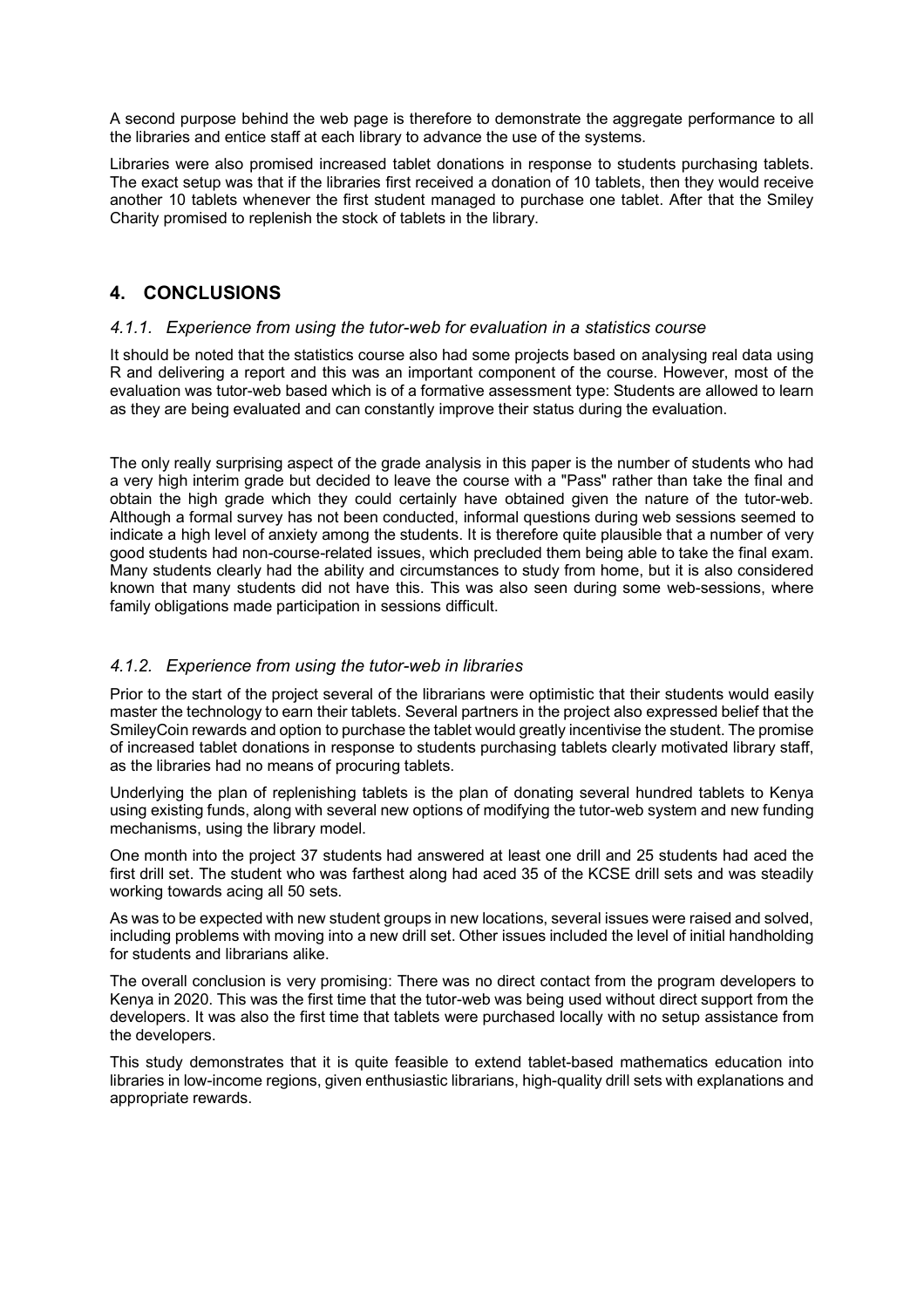A second purpose behind the web page is therefore to demonstrate the aggregate performance to all the libraries and entice staff at each library to advance the use of the systems.

Libraries were also promised increased tablet donations in response to students purchasing tablets. The exact setup was that if the libraries first received a donation of 10 tablets, then they would receive another 10 tablets whenever the first student managed to purchase one tablet. After that the Smiley Charity promised to replenish the stock of tablets in the library.

## **4. CONCLUSIONS**

#### *4.1.1. Experience from using the tutor-web for evaluation in a statistics course*

It should be noted that the statistics course also had some projects based on analysing real data using R and delivering a report and this was an important component of the course. However, most of the evaluation was tutor-web based which is of a formative assessment type: Students are allowed to learn as they are being evaluated and can constantly improve their status during the evaluation.

The only really surprising aspect of the grade analysis in this paper is the number of students who had a very high interim grade but decided to leave the course with a "Pass" rather than take the final and obtain the high grade which they could certainly have obtained given the nature of the tutor-web. Although a formal survey has not been conducted, informal questions during web sessions seemed to indicate a high level of anxiety among the students. It is therefore quite plausible that a number of very good students had non-course-related issues, which precluded them being able to take the final exam. Many students clearly had the ability and circumstances to study from home, but it is also considered known that many students did not have this. This was also seen during some web-sessions, where family obligations made participation in sessions difficult.

## *4.1.2. Experience from using the tutor-web in libraries*

Prior to the start of the project several of the librarians were optimistic that their students would easily master the technology to earn their tablets. Several partners in the project also expressed belief that the SmileyCoin rewards and option to purchase the tablet would greatly incentivise the student. The promise of increased tablet donations in response to students purchasing tablets clearly motivated library staff, as the libraries had no means of procuring tablets.

Underlying the plan of replenishing tablets is the plan of donating several hundred tablets to Kenya using existing funds, along with several new options of modifying the tutor-web system and new funding mechanisms, using the library model.

One month into the project 37 students had answered at least one drill and 25 students had aced the first drill set. The student who was farthest along had aced 35 of the KCSE drill sets and was steadily working towards acing all 50 sets.

As was to be expected with new student groups in new locations, several issues were raised and solved, including problems with moving into a new drill set. Other issues included the level of initial handholding for students and librarians alike.

The overall conclusion is very promising: There was no direct contact from the program developers to Kenya in 2020. This was the first time that the tutor-web was being used without direct support from the developers. It was also the first time that tablets were purchased locally with no setup assistance from the developers.

This study demonstrates that it is quite feasible to extend tablet-based mathematics education into libraries in low-income regions, given enthusiastic librarians, high-quality drill sets with explanations and appropriate rewards.